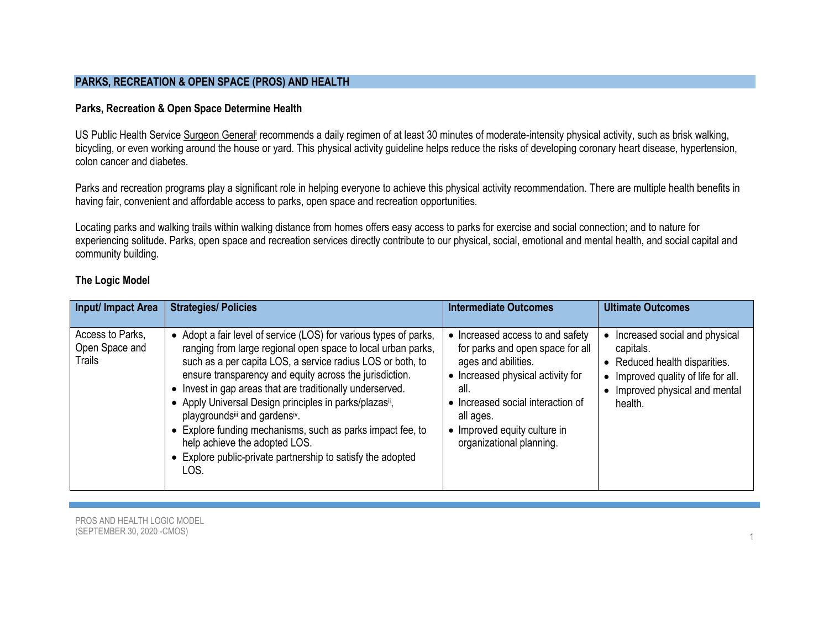### **PARKS, RECREATION & OPEN SPACE (PROS) AND HEALTH**

# **Parks, Recreation & Open Space Determine Health**

US Public Health Service [Surgeon General](https://www.cdc.gov/nccdphp/sgr/pdf/sgrfull.pdf) recommends a daily regimen of at least 30 minutes of moderate-intensity physical activity, such as brisk walking, bicycling, or even working around the house or yard. This physical activity guideline helps reduce the risks of developing coronary heart disease, hypertension, colon cancer and diabetes.

Parks and recreation programs play a significant role in helping everyone to achieve this physical activity recommendation. There are multiple health benefits in having fair, convenient and affordable access to parks, open space and recreation opportunities.

Locating parks and walking trails within walking distance from homes offers easy access to parks for exercise and social connection; and to nature for experiencing solitude. Parks, open space and recreation services directly contribute to our physical, social, emotional and mental health, and social capital and community building.

# **The Logic Model**

| Input/ Impact Area                           | <b>Strategies/ Policies</b>                                                                                                                                                                                                                                                                                                                                                                                                                                                                                                                                                        | <b>Intermediate Outcomes</b>                                                                                                                                                                                                                         | <b>Ultimate Outcomes</b>                                                                                                                                                   |
|----------------------------------------------|------------------------------------------------------------------------------------------------------------------------------------------------------------------------------------------------------------------------------------------------------------------------------------------------------------------------------------------------------------------------------------------------------------------------------------------------------------------------------------------------------------------------------------------------------------------------------------|------------------------------------------------------------------------------------------------------------------------------------------------------------------------------------------------------------------------------------------------------|----------------------------------------------------------------------------------------------------------------------------------------------------------------------------|
| Access to Parks,<br>Open Space and<br>Trails | • Adopt a fair level of service (LOS) for various types of parks,<br>ranging from large regional open space to local urban parks,<br>such as a per capita LOS, a service radius LOS or both, to<br>ensure transparency and equity across the jurisdiction.<br>Invest in gap areas that are traditionally underserved.<br>• Apply Universal Design principles in parks/plazasii,<br>playgroundsill and gardensiv.<br>Explore funding mechanisms, such as parks impact fee, to<br>help achieve the adopted LOS.<br>Explore public-private partnership to satisfy the adopted<br>LOS. | Increased access to and safety<br>for parks and open space for all<br>ages and abilities.<br>• Increased physical activity for<br>all.<br>• Increased social interaction of<br>all ages.<br>• Improved equity culture in<br>organizational planning. | Increased social and physical<br>$\bullet$<br>capitals.<br>• Reduced health disparities.<br>• Improved quality of life for all.<br>Improved physical and mental<br>health. |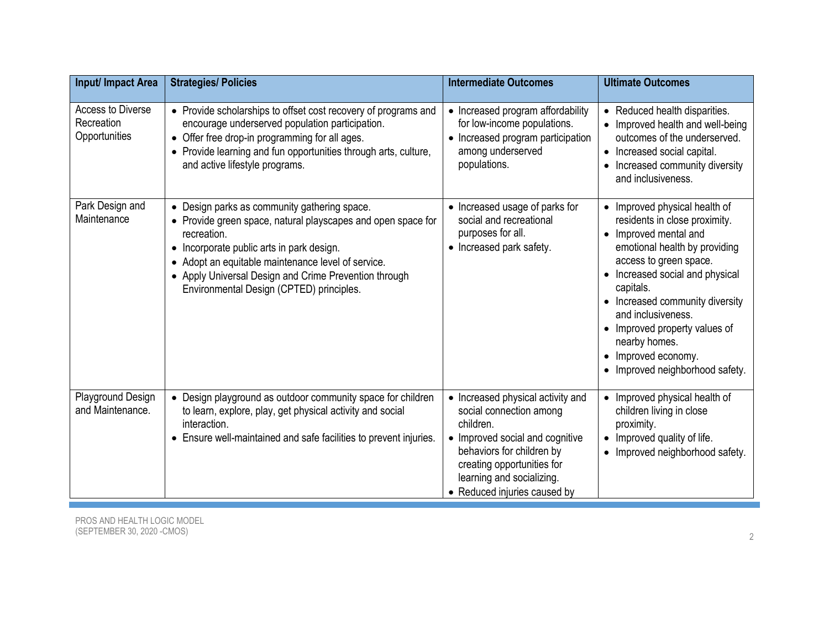| Input/ Impact Area                               | <b>Strategies/ Policies</b>                                                                                                                                                                                                                                                                                                         | <b>Intermediate Outcomes</b>                                                                                                                                                                                                         | <b>Ultimate Outcomes</b>                                                                                                                                                                                                                                                                                                                                                         |
|--------------------------------------------------|-------------------------------------------------------------------------------------------------------------------------------------------------------------------------------------------------------------------------------------------------------------------------------------------------------------------------------------|--------------------------------------------------------------------------------------------------------------------------------------------------------------------------------------------------------------------------------------|----------------------------------------------------------------------------------------------------------------------------------------------------------------------------------------------------------------------------------------------------------------------------------------------------------------------------------------------------------------------------------|
| Access to Diverse<br>Recreation<br>Opportunities | • Provide scholarships to offset cost recovery of programs and<br>encourage underserved population participation.<br>• Offer free drop-in programming for all ages.<br>• Provide learning and fun opportunities through arts, culture,<br>and active lifestyle programs.                                                            | • Increased program affordability<br>for low-income populations.<br>• Increased program participation<br>among underserved<br>populations.                                                                                           | • Reduced health disparities.<br>• Improved health and well-being<br>outcomes of the underserved.<br>• Increased social capital.<br>Increased community diversity<br>and inclusiveness.                                                                                                                                                                                          |
| Park Design and<br>Maintenance                   | • Design parks as community gathering space.<br>• Provide green space, natural playscapes and open space for<br>recreation.<br>• Incorporate public arts in park design.<br>• Adopt an equitable maintenance level of service.<br>• Apply Universal Design and Crime Prevention through<br>Environmental Design (CPTED) principles. | • Increased usage of parks for<br>social and recreational<br>purposes for all.<br>• Increased park safety.                                                                                                                           | • Improved physical health of<br>residents in close proximity.<br>Improved mental and<br>$\bullet$<br>emotional health by providing<br>access to green space.<br>• Increased social and physical<br>capitals.<br>• Increased community diversity<br>and inclusiveness.<br>• Improved property values of<br>nearby homes.<br>Improved economy.<br>• Improved neighborhood safety. |
| Playground Design<br>and Maintenance.            | • Design playground as outdoor community space for children<br>to learn, explore, play, get physical activity and social<br>interaction.<br>• Ensure well-maintained and safe facilities to prevent injuries.                                                                                                                       | • Increased physical activity and<br>social connection among<br>children.<br>• Improved social and cognitive<br>behaviors for children by<br>creating opportunities for<br>learning and socializing.<br>• Reduced injuries caused by | Improved physical health of<br>$\bullet$<br>children living in close<br>proximity.<br>Improved quality of life.<br>$\bullet$<br>• Improved neighborhood safety.                                                                                                                                                                                                                  |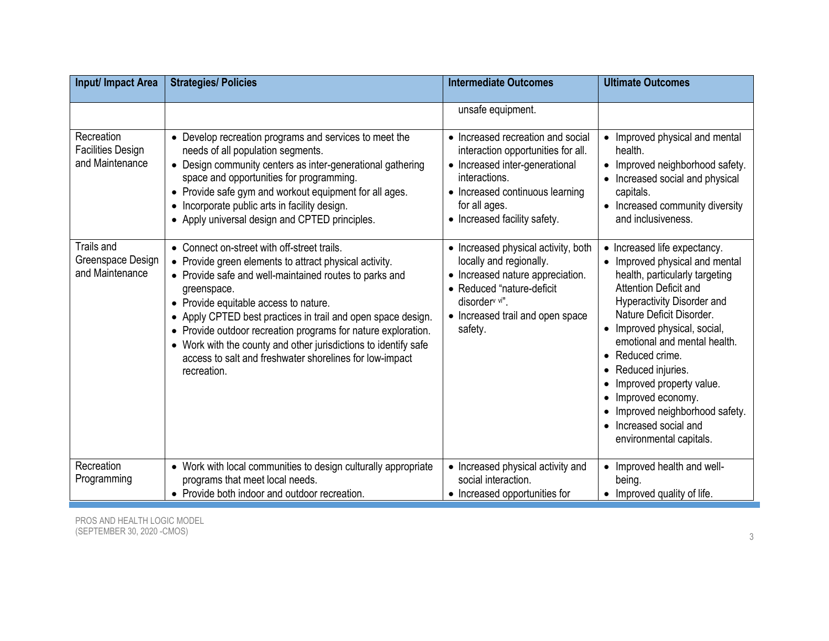| Input/ Impact Area                                        | <b>Strategies/ Policies</b>                                                                                                                                                                                                                                                                                                                                                                                                                                                                           | <b>Intermediate Outcomes</b>                                                                                                                                                                                                        | <b>Ultimate Outcomes</b>                                                                                                                                                                                                                                                                                                                                                                                                                                                         |
|-----------------------------------------------------------|-------------------------------------------------------------------------------------------------------------------------------------------------------------------------------------------------------------------------------------------------------------------------------------------------------------------------------------------------------------------------------------------------------------------------------------------------------------------------------------------------------|-------------------------------------------------------------------------------------------------------------------------------------------------------------------------------------------------------------------------------------|----------------------------------------------------------------------------------------------------------------------------------------------------------------------------------------------------------------------------------------------------------------------------------------------------------------------------------------------------------------------------------------------------------------------------------------------------------------------------------|
| Recreation<br><b>Facilities Design</b><br>and Maintenance | • Develop recreation programs and services to meet the<br>needs of all population segments.<br>• Design community centers as inter-generational gathering<br>space and opportunities for programming.<br>• Provide safe gym and workout equipment for all ages.<br>• Incorporate public arts in facility design.<br>• Apply universal design and CPTED principles.                                                                                                                                    | unsafe equipment.<br>• Increased recreation and social<br>interaction opportunities for all.<br>• Increased inter-generational<br>interactions.<br>• Increased continuous learning<br>for all ages.<br>• Increased facility safety. | • Improved physical and mental<br>health.<br>• Improved neighborhood safety.<br>Increased social and physical<br>capitals.<br>• Increased community diversity<br>and inclusiveness.                                                                                                                                                                                                                                                                                              |
| Trails and<br>Greenspace Design<br>and Maintenance        | • Connect on-street with off-street trails.<br>• Provide green elements to attract physical activity.<br>• Provide safe and well-maintained routes to parks and<br>greenspace.<br>• Provide equitable access to nature.<br>• Apply CPTED best practices in trail and open space design.<br>• Provide outdoor recreation programs for nature exploration.<br>• Work with the county and other jurisdictions to identify safe<br>access to salt and freshwater shorelines for low-impact<br>recreation. | • Increased physical activity, both<br>locally and regionally.<br>• Increased nature appreciation.<br>• Reduced "nature-deficit<br>disorder <sup>v vi"</sup> .<br>• Increased trail and open space<br>safety.                       | • Increased life expectancy.<br>Improved physical and mental<br>health, particularly targeting<br><b>Attention Deficit and</b><br><b>Hyperactivity Disorder and</b><br>Nature Deficit Disorder.<br>Improved physical, social,<br>$\bullet$<br>emotional and mental health.<br>Reduced crime.<br>Reduced injuries.<br>$\bullet$<br>Improved property value.<br>Improved economy.<br>$\bullet$<br>Improved neighborhood safety.<br>Increased social and<br>environmental capitals. |
| Recreation<br>Programming                                 | • Work with local communities to design culturally appropriate<br>programs that meet local needs.                                                                                                                                                                                                                                                                                                                                                                                                     | • Increased physical activity and<br>social interaction.                                                                                                                                                                            | Improved health and well-<br>being.                                                                                                                                                                                                                                                                                                                                                                                                                                              |
|                                                           | • Provide both indoor and outdoor recreation.                                                                                                                                                                                                                                                                                                                                                                                                                                                         | • Increased opportunities for                                                                                                                                                                                                       | Improved quality of life.                                                                                                                                                                                                                                                                                                                                                                                                                                                        |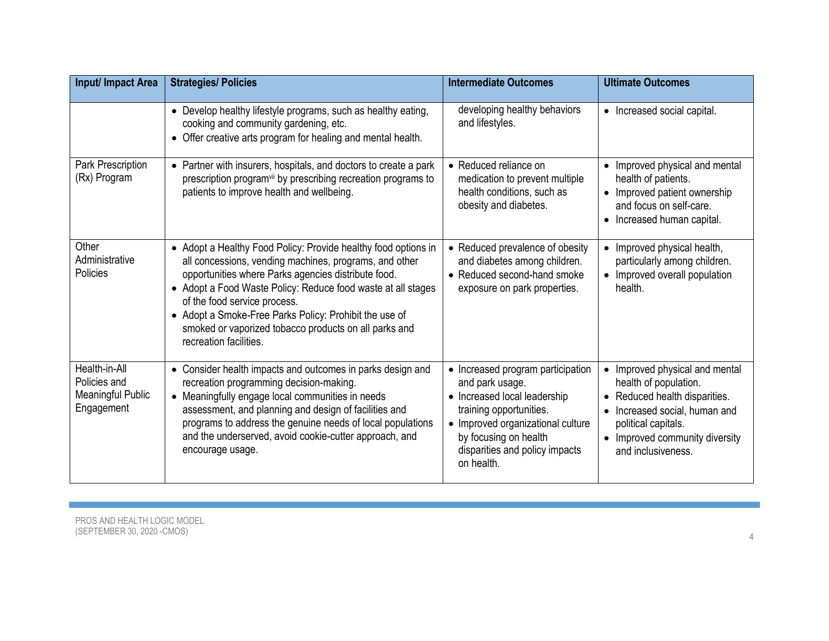| Input/ Impact Area                                                      | <b>Strategies/ Policies</b>                                                                                                                                                                                                                                                                                                                                                                                                  | <b>Intermediate Outcomes</b>                                                                                                                                                                                                  | <b>Ultimate Outcomes</b>                                                                                                                                                                                                                  |
|-------------------------------------------------------------------------|------------------------------------------------------------------------------------------------------------------------------------------------------------------------------------------------------------------------------------------------------------------------------------------------------------------------------------------------------------------------------------------------------------------------------|-------------------------------------------------------------------------------------------------------------------------------------------------------------------------------------------------------------------------------|-------------------------------------------------------------------------------------------------------------------------------------------------------------------------------------------------------------------------------------------|
|                                                                         | • Develop healthy lifestyle programs, such as healthy eating,<br>cooking and community gardening, etc.<br>• Offer creative arts program for healing and mental health.                                                                                                                                                                                                                                                       | developing healthy behaviors<br>and lifestyles.                                                                                                                                                                               | • Increased social capital.                                                                                                                                                                                                               |
| Park Prescription<br>(Rx) Program                                       | • Partner with insurers, hospitals, and doctors to create a park<br>prescription program <sup>vii</sup> by prescribing recreation programs to<br>patients to improve health and wellbeing.                                                                                                                                                                                                                                   | • Reduced reliance on<br>medication to prevent multiple<br>health conditions, such as<br>obesity and diabetes.                                                                                                                | Improved physical and mental<br>$\bullet$<br>health of patients.<br>• Improved patient ownership<br>and focus on self-care.<br>• Increased human capital.                                                                                 |
| Other<br>Administrative<br>Policies                                     | • Adopt a Healthy Food Policy: Provide healthy food options in<br>all concessions, vending machines, programs, and other<br>opportunities where Parks agencies distribute food.<br>• Adopt a Food Waste Policy: Reduce food waste at all stages<br>of the food service process.<br>• Adopt a Smoke-Free Parks Policy: Prohibit the use of<br>smoked or vaporized tobacco products on all parks and<br>recreation facilities. | • Reduced prevalence of obesity<br>and diabetes among children.<br>• Reduced second-hand smoke<br>exposure on park properties.                                                                                                | Improved physical health,<br>particularly among children.<br>• Improved overall population<br>health.                                                                                                                                     |
| Health-in-All<br>Policies and<br><b>Meaningful Public</b><br>Engagement | • Consider health impacts and outcomes in parks design and<br>recreation programming decision-making.<br>• Meaningfully engage local communities in needs<br>assessment, and planning and design of facilities and<br>programs to address the genuine needs of local populations<br>and the underserved, avoid cookie-cutter approach, and<br>encourage usage.                                                               | • Increased program participation<br>and park usage.<br>• Increased local leadership<br>training opportunities.<br>• Improved organizational culture<br>by focusing on health<br>disparities and policy impacts<br>on health. | Improved physical and mental<br>$\bullet$<br>health of population.<br>• Reduced health disparities.<br>Increased social, human and<br>$\bullet$<br>political capitals.<br>Improved community diversity<br>$\bullet$<br>and inclusiveness. |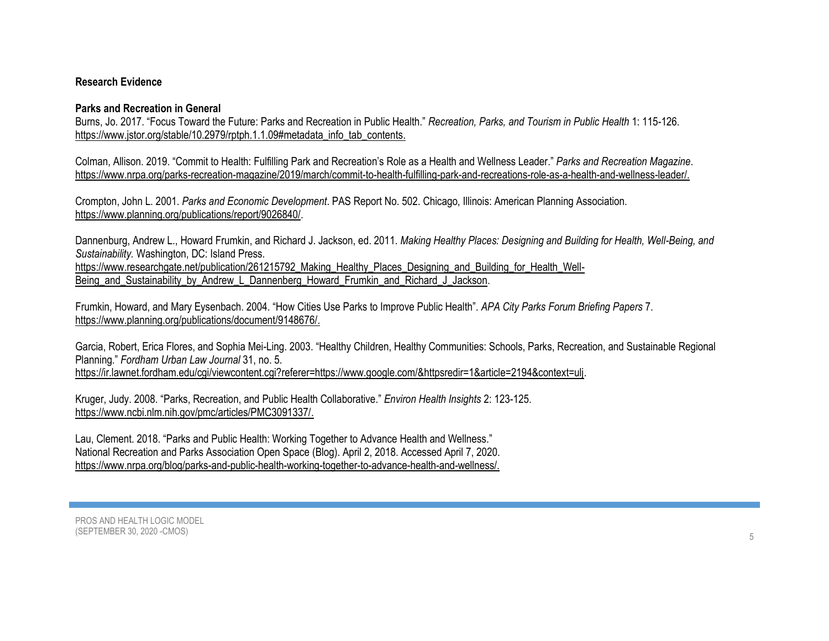# **Research Evidence**

# **Parks and Recreation in General**

Burns, Jo. 2017. "Focus Toward the Future: Parks and Recreation in Public Health." *Recreation, Parks, and Tourism in Public Health* 1: 115-126. [https://www.jstor.org/stable/10.2979/rptph.1.1.09#metadata\\_info\\_tab\\_contents.](https://www.jstor.org/stable/10.2979/rptph.1.1.09#metadata_info_tab_contents)

Colman, Allison. 2019. "Commit to Health: Fulfilling Park and Recreation's Role as a Health and Wellness Leader." *Parks and Recreation Magazine*. [https://www.nrpa.org/parks-recreation-magazine/2019/march/commit-to-health-fulfilling-park-and-recreations-role-as-a-health-and-wellness-leader/.](https://www.nrpa.org/parks-recreation-magazine/2019/march/commit-to-health-fulfilling-park-and-recreations-role-as-a-health-and-wellness-leader/)

Crompton, John L. 2001. *Parks and Economic Development*. PAS Report No. 502. Chicago, Illinois: American Planning Association. [https://www.planning.org/publications/report/9026840/.](https://www.planning.org/publications/report/9026840/)

Dannenburg, Andrew L., Howard Frumkin, and Richard J. Jackson, ed. 2011. *Making Healthy Places: Designing and Building for Health, Well-Being, and Sustainability.* Washington, DC: Island Press. [https://www.researchgate.net/publication/261215792\\_Making\\_Healthy\\_Places\\_Designing\\_and\\_Building\\_for\\_Health\\_Well-](https://www.researchgate.net/publication/261215792_Making_Healthy_Places_Designing_and_Building_for_Health_Well-Being_and_Sustainability_by_Andrew_L_Dannenberg_Howard_Frumkin_and_Richard_J_Jackson)Being and Sustainability by Andrew L Dannenberg Howard Frumkin and Richard J Jackson.

Frumkin, Howard, and Mary Eysenbach. 2004. "How Cities Use Parks to Improve Public Health". *APA City Parks Forum Briefing Papers* 7. [https://www.planning.org/publications/document/9148676/.](https://www.planning.org/publications/document/9148676/)

Garcia, Robert, Erica Flores, and Sophia Mei-Ling. 2003. "Healthy Children, Healthy Communities: Schools, Parks, Recreation, and Sustainable Regional Planning." *Fordham Urban Law Journal* 31, no. 5.

[https://ir.lawnet.fordham.edu/cgi/viewcontent.cgi?referer=https://www.google.com/&httpsredir=1&article=2194&context=ulj.](https://ir.lawnet.fordham.edu/cgi/viewcontent.cgi?referer=https://www.google.com/&httpsredir=1&article=2194&context=ulj)

Kruger, Judy. 2008. "Parks, Recreation, and Public Health Collaborative." *Environ Health Insights* 2: 123-125. [https://www.ncbi.nlm.nih.gov/pmc/articles/PMC3091337/.](https://www.ncbi.nlm.nih.gov/pmc/articles/PMC3091337/)

Lau, Clement. 2018. "Parks and Public Health: Working Together to Advance Health and Wellness." National Recreation and Parks Association Open Space (Blog). April 2, 2018. Accessed April 7, 2020. [https://www.nrpa.org/blog/parks-and-public-health-working-together-to-advance-health-and-wellness/.](https://www.nrpa.org/blog/parks-and-public-health-working-together-to-advance-health-and-wellness/)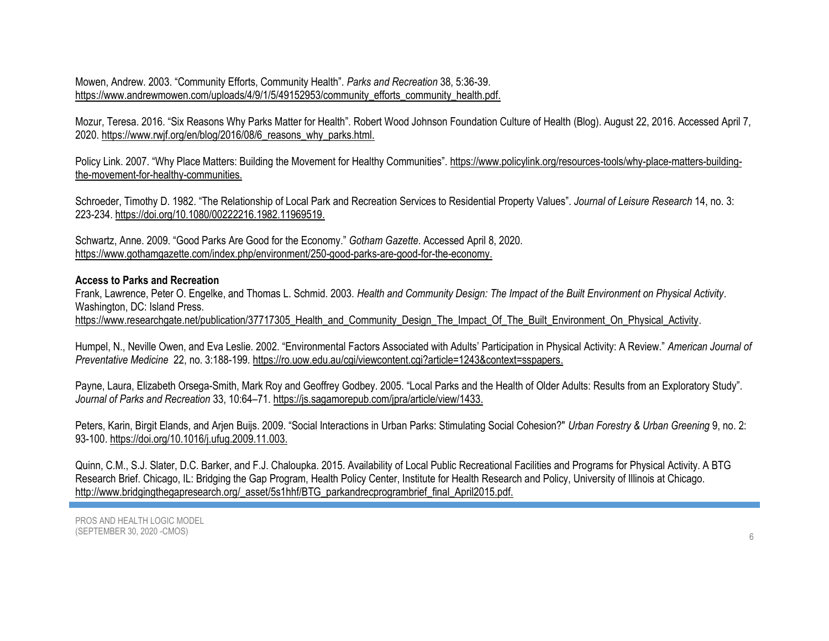Mowen, Andrew. 2003. "Community Efforts, Community Health". *Parks and Recreation* 38, 5:36-39. [https://www.andrewmowen.com/uploads/4/9/1/5/49152953/community\\_efforts\\_community\\_health.pdf.](https://www.andrewmowen.com/uploads/4/9/1/5/49152953/community_efforts_community_health.pdf)

Mozur, Teresa. 2016. "Six Reasons Why Parks Matter for Health". Robert Wood Johnson Foundation Culture of Health (Blog). August 22, 2016. Accessed April 7, 2020. [https://www.rwjf.org/en/blog/2016/08/6\\_reasons\\_why\\_parks.html.](https://www.rwjf.org/en/blog/2016/08/6_reasons_why_parks.html)

Policy Link. 2007. "Why Place Matters: Building the Movement for Healthy Communities". [https://www.policylink.org/resources-tools/why-place-matters-building](https://www.policylink.org/resources-tools/why-place-matters-building-the-movement-for-healthy-communities)[the-movement-for-healthy-communities.](https://www.policylink.org/resources-tools/why-place-matters-building-the-movement-for-healthy-communities)

Schroeder, Timothy D. 1982. "The Relationship of Local Park and Recreation Services to Residential Property Values". *Journal of Leisure Research* 14, no. 3: 223-234. [https://doi.org/10.1080/00222216.1982.11969519.](https://doi.org/10.1080/00222216.1982.11969519)

Schwartz, Anne. 2009. "Good Parks Are Good for the Economy." *Gotham Gazette*. Accessed April 8, 2020. [https://www.gothamgazette.com/index.php/environment/250-good-parks-are-good-for-the-economy.](https://www.gothamgazette.com/index.php/environment/250-good-parks-are-good-for-the-economy)

#### **Access to Parks and Recreation**

Frank, Lawrence, Peter O. Engelke, and Thomas L. Schmid. 2003. *Health and Community Design: The Impact of the Built Environment on Physical Activity*. Washington, DC: Island Press.

[https://www.researchgate.net/publication/37717305\\_Health\\_and\\_Community\\_Design\\_The\\_Impact\\_Of\\_The\\_Built\\_Environment\\_On\\_Physical\\_Activity.](https://www.researchgate.net/publication/37717305_Health_and_Community_Design_The_Impact_Of_The_Built_Environment_On_Physical_Activity)

Humpel, N., Neville Owen, and Eva Leslie. 2002. "Environmental Factors Associated with Adults' Participation in Physical Activity: A Review." *American Journal of Preventative Medicine* 22, no. 3:188-199[. https://ro.uow.edu.au/cgi/viewcontent.cgi?article=1243&context=sspapers.](https://ro.uow.edu.au/cgi/viewcontent.cgi?article=1243&context=sspapers)

Payne, Laura, Elizabeth Orsega-Smith, Mark Roy and Geoffrey Godbey. 2005. "Local Parks and the Health of Older Adults: Results from an Exploratory Study". *Journal of Parks and Recreation* 33, 10:64–71. [https://js.sagamorepub.com/jpra/article/view/1433.](https://js.sagamorepub.com/jpra/article/view/1433)

Peters, Karin, Birgit Elands, and Arjen Buijs. 2009. "Social Interactions in Urban Parks: Stimulating Social Cohesion?" *Urban Forestry & Urban Greening* 9, no. 2: 93-100. [https://doi.org/10.1016/j.ufug.2009.11.003.](https://doi.org/10.1016/j.ufug.2009.11.003)

Quinn, C.M., S.J. Slater, D.C. Barker, and F.J. Chaloupka. 2015. Availability of Local Public Recreational Facilities and Programs for Physical Activity. A BTG Research Brief. Chicago, IL: Bridging the Gap Program, Health Policy Center, Institute for Health Research and Policy, University of Illinois at Chicago. [http://www.bridgingthegapresearch.org/\\_asset/5s1hhf/BTG\\_parkandrecprogrambrief\\_final\\_April2015.pdf.](http://www.bridgingthegapresearch.org/_asset/5s1hhf/BTG_parkandrecprogrambrief_final_April2015.pdf)

PROS AND HEALTH LOGIC MODEL (SEPTEMBER 30, 2020 -CMOS)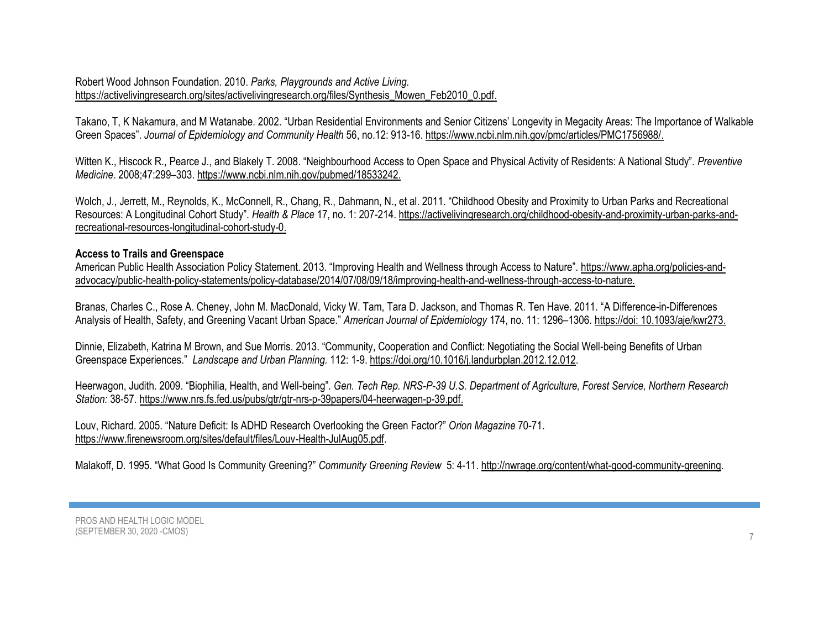## Robert Wood Johnson Foundation. 2010. *Parks, Playgrounds and Active Living.* [https://activelivingresearch.org/sites/activelivingresearch.org/files/Synthesis\\_Mowen\\_Feb2010\\_0.pdf.](https://activelivingresearch.org/sites/activelivingresearch.org/files/Synthesis_Mowen_Feb2010_0.pdf)

Takano, T, K Nakamura, and M Watanabe. 2002. "Urban Residential Environments and Senior Citizens' Longevity in Megacity Areas: The Importance of Walkable Green Spaces". *Journal of Epidemiology and Community Health* 56, no.12: 913-16[. https://www.ncbi.nlm.nih.gov/pmc/articles/PMC1756988/.](https://www.ncbi.nlm.nih.gov/pmc/articles/PMC1756988/)

Witten K., Hiscock R., Pearce J., and Blakely T. 2008. "Neighbourhood Access to Open Space and Physical Activity of Residents: A National Study". *Preventive Medicine*. 2008;47:299–303[. https://www.ncbi.nlm.nih.gov/pubmed/18533242.](https://www.ncbi.nlm.nih.gov/pubmed/18533242)

Wolch, J., Jerrett, M., Reynolds, K., McConnell, R., Chang, R., Dahmann, N., et al. 2011. "Childhood Obesity and Proximity to Urban Parks and Recreational Resources: A Longitudinal Cohort Study". *Health & Place* 17, no. 1: 207-214. [https://activelivingresearch.org/childhood-obesity-and-proximity-urban-parks-and](https://activelivingresearch.org/childhood-obesity-and-proximity-urban-parks-and-recreational-resources-longitudinal-cohort-study-0)[recreational-resources-longitudinal-cohort-study-0.](https://activelivingresearch.org/childhood-obesity-and-proximity-urban-parks-and-recreational-resources-longitudinal-cohort-study-0)

#### **Access to Trails and Greenspace**

American Public Health Association Policy Statement. 2013. "Improving Health and Wellness through Access to Nature". [https://www.apha.org/policies-and](https://www.apha.org/policies-and-advocacy/public-health-policy-statements/policy-database/2014/07/08/09/18/improving-health-and-wellness-through-access-to-nature)[advocacy/public-health-policy-statements/policy-database/2014/07/08/09/18/improving-health-and-wellness-through-access-to-nature.](https://www.apha.org/policies-and-advocacy/public-health-policy-statements/policy-database/2014/07/08/09/18/improving-health-and-wellness-through-access-to-nature)

Branas, Charles C., Rose A. Cheney, John M. MacDonald, Vicky W. Tam, Tara D. Jackson, and Thomas R. Ten Have. 2011. "A Difference-in-Differences Analysis of Health, Safety, and Greening Vacant Urban Space." *American Journal of Epidemiology* 174, no. 11: 1296–1306. https://doi: [10.1093/aje/kwr273.](https://dx.doi.org/10.1093%2Faje%2Fkwr273)

Dinnie, Elizabeth, Katrina M Brown, and Sue Morris. 2013. "Community, Cooperation and Conflict: Negotiating the Social Well-being Benefits of Urban Greenspace Experiences." *Landscape and Urban Planning.* 112: 1-9[. https://doi.org/10.1016/j.landurbplan.2012.12.012.](https://doi.org/10.1016/j.landurbplan.2012.12.012)

Heerwagon, Judith. 2009. "Biophilia, Health, and Well-being". *Gen. Tech Rep. NRS-P-39 U.S. Department of Agriculture, Forest Service, Northern Research Station:* 38-57. [https://www.nrs.fs.fed.us/pubs/gtr/gtr-nrs-p-39papers/04-heerwagen-p-39.pdf.](https://www.nrs.fs.fed.us/pubs/gtr/gtr-nrs-p-39papers/04-heerwagen-p-39.pdf)

Louv, Richard. 2005. "Nature Deficit: Is ADHD Research Overlooking the Green Factor?" *Orion Magazine* 70-71. [https://www.firenewsroom.org/sites/default/files/Louv-Health-JulAug05.pdf.](https://www.firenewsroom.org/sites/default/files/Louv-Health-JulAug05.pdf)

Malakoff, D. 1995. "What Good Is Community Greening?" *Community Greening Review* 5: 4-11[. http://nwrage.org/content/what-good-community-greening.](http://nwrage.org/content/what-good-community-greening)

PROS AND HEALTH LOGIC MODEL (SEPTEMBER 30, 2020 -CMOS)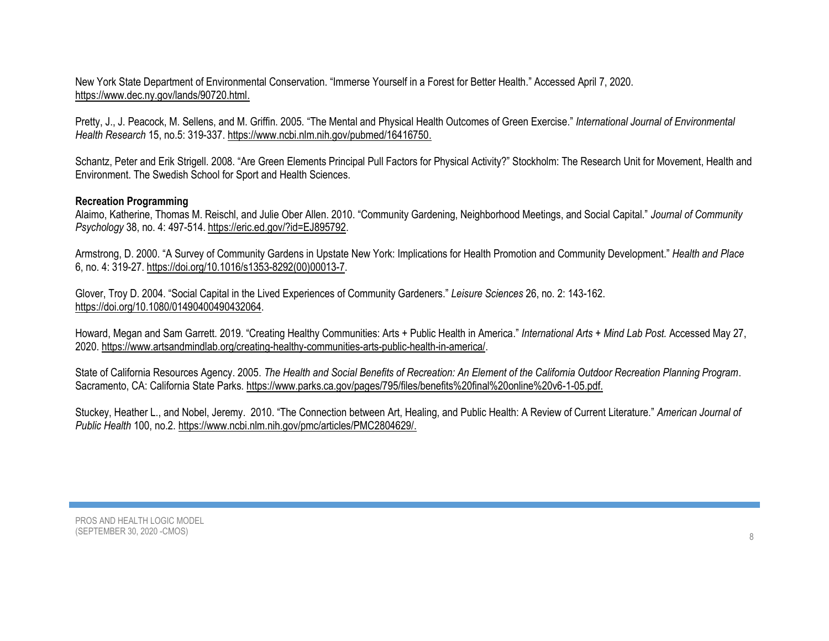New York State Department of Environmental Conservation. "Immerse Yourself in a Forest for Better Health." Accessed April 7, 2020. [https://www.dec.ny.gov/lands/90720.html.](https://www.dec.ny.gov/lands/90720.html)

Pretty, J., J. Peacock, M. Sellens, and M. Griffin. 2005. "The Mental and Physical Health Outcomes of Green Exercise." *International Journal of Environmental Health Research* 15, no.5: 319-337[. https://www.ncbi.nlm.nih.gov/pubmed/16416750.](https://www.ncbi.nlm.nih.gov/pubmed/16416750)

Schantz, Peter and Erik Strigell. 2008. "Are Green Elements Principal Pull Factors for Physical Activity?" Stockholm: The Research Unit for Movement, Health and Environment. The Swedish School for Sport and Health Sciences.

### **Recreation Programming**

Alaimo, Katherine, Thomas M. Reischl, and Julie Ober Allen. 2010. "Community Gardening, Neighborhood Meetings, and Social Capital." *Journal of Community Psychology* 38, no. 4: 497-514. [https://eric.ed.gov/?id=EJ895792.](https://eric.ed.gov/?id=EJ895792)

Armstrong, D. 2000. "A Survey of Community Gardens in Upstate New York: Implications for Health Promotion and Community Development." *Health and Place* 6, no. 4: 319-27. https://doi.org[/10.1016/s1353-8292\(00\)00013-7.](https://doi.org/10.1016/s1353-8292(00)00013-7)

Glover, Troy D. 2004. "Social Capital in the Lived Experiences of Community Gardeners." *Leisure Sciences* 26, no. 2: 143-162. [https://doi.org/10.1080/01490400490432064.](https://doi.org/10.1080/01490400490432064)

Howard, Megan and Sam Garrett. 2019. "Creating Healthy Communities: Arts + Public Health in America." *International Arts + Mind Lab Post.* Accessed May 27, 2020. [https://www.artsandmindlab.org/creating-healthy-communities-arts-public-health-in-america/.](https://www.artsandmindlab.org/creating-healthy-communities-arts-public-health-in-america/)

State of California Resources Agency. 2005. *The Health and Social Benefits of Recreation: An Element of the California Outdoor Recreation Planning Program*. Sacramento, CA: California State Parks. [https://www.parks.ca.gov/pages/795/files/benefits%20final%20online%20v6-1-05.pdf.](https://www.parks.ca.gov/pages/795/files/benefits%20final%20online%20v6-1-05.pdf)

Stuckey, Heather L., and Nobel, Jeremy. 2010. "The Connection between Art, Healing, and Public Health: A Review of Current Literature." *American Journal of Public Health* 100, no.2. [https://www.ncbi.nlm.nih.gov/pmc/articles/PMC2804629/.](https://www.ncbi.nlm.nih.gov/pmc/articles/PMC2804629/)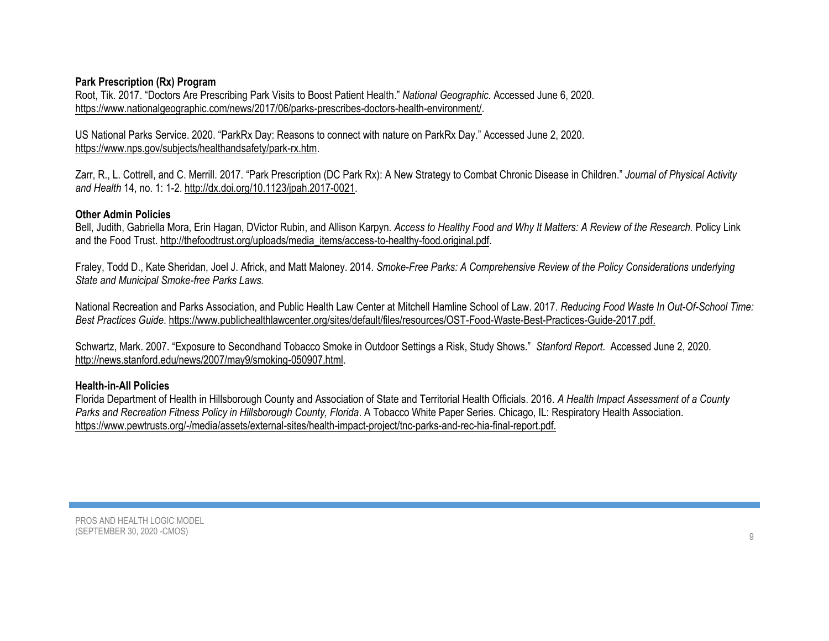# **Park Prescription (Rx) Program**

Root, Tik. 2017. "Doctors Are Prescribing Park Visits to Boost Patient Health." *National Geographic.* Accessed June 6, 2020. [https://www.nationalgeographic.com/news/2017/06/parks-prescribes-doctors-health-environment/.](https://www.nationalgeographic.com/news/2017/06/parks-prescribes-doctors-health-environment/)

US National Parks Service. 2020. "ParkRx Day: Reasons to connect with nature on ParkRx Day." Accessed June 2, 2020. [https://www.nps.gov/subjects/healthandsafety/park-rx.htm.](https://www.nps.gov/subjects/healthandsafety/park-rx.htm)

Zarr, R., L. Cottrell, and C. Merrill. 2017. "Park Prescription (DC Park Rx): A New Strategy to Combat Chronic Disease in Children." *Journal of Physical Activity and Health* 14, no. 1: 1-2. [http://dx.doi.org/10.1123/jpah.2017-0021.](http://dx.doi.org/10.1123/jpah.2017-0021)

### **Other Admin Policies**

Bell, Judith, Gabriella Mora, Erin Hagan, DVictor Rubin, and Allison Karpyn. *Access to Healthy Food and Why It Matters: A Review of the Research.* Policy Link and the Food Trust. [http://thefoodtrust.org/uploads/media\\_items/access-to-healthy-food.original.pdf.](http://thefoodtrust.org/uploads/media_items/access-to-healthy-food.original.pdf)

Fraley, Todd D., Kate Sheridan, Joel J. Africk, and Matt Maloney. 2014. *Smoke-Free Parks: A Comprehensive Review of the Policy Considerations underlying State and Municipal Smoke-free Parks Laws.* 

National Recreation and Parks Association, and Public Health Law Center at Mitchell Hamline School of Law. 2017. *Reducing Food Waste In Out-Of-School Time: Best Practices Guide*. [https://www.publichealthlawcenter.org/sites/default/files/resources/OST-Food-Waste-Best-Practices-Guide-2017.pdf.](https://www.publichealthlawcenter.org/sites/default/files/resources/OST-Food-Waste-Best-Practices-Guide-2017.pdf)

Schwartz, Mark. 2007. "Exposure to Secondhand Tobacco Smoke in Outdoor Settings a Risk, Study Shows." *Stanford Report*. Accessed June 2, 2020. [http://news.stanford.edu/news/2007/may9/smoking-050907.html.](http://news.stanford.edu/news/2007/may9/smoking-050907.html)

# **Health-in-All Policies**

Florida Department of Health in Hillsborough County and Association of State and Territorial Health Officials. 2016. *A Health Impact Assessment of a County Parks and Recreation Fitness Policy in Hillsborough County, Florida*. A Tobacco White Paper Series. Chicago, IL: Respiratory Health Association. [https://www.pewtrusts.org/-/media/assets/external-sites/health-impact-project/tnc-parks-and-rec-hia-final-report.pdf.](https://www.pewtrusts.org/-/media/assets/external-sites/health-impact-project/tnc-parks-and-rec-hia-final-report.pdf)